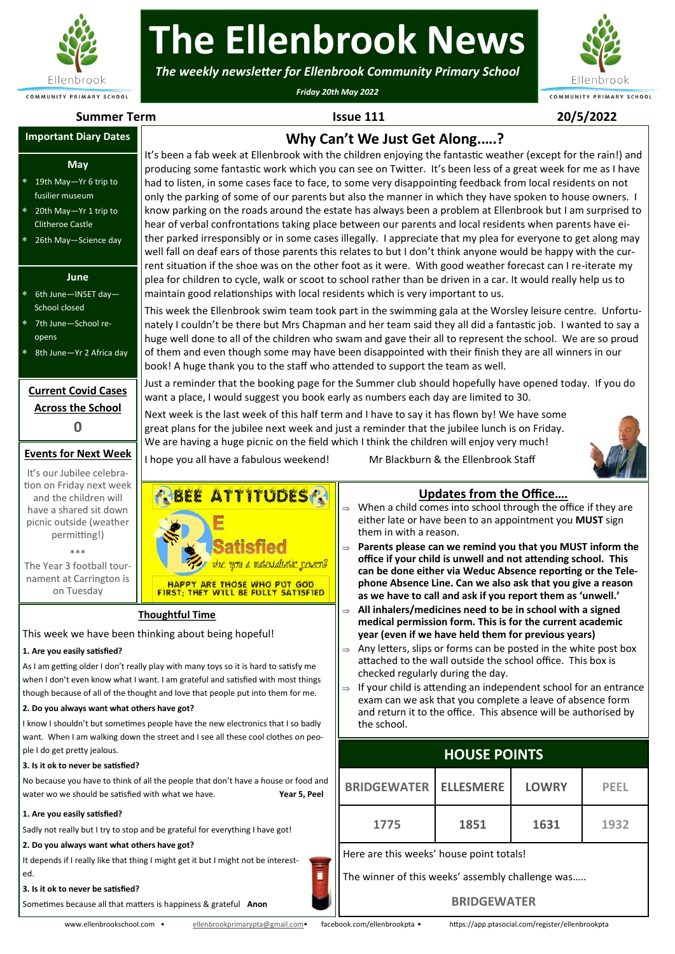

## **The Ellenbrook News**

*The weekly newsletter for Ellenbrook Community Primary School*

*Friday 20th May 2022*

maintain good relationships with local residents which is very important to us.

book! A huge thank you to the staff who attended to support the team as well.

want a place, I would suggest you book early as numbers each day are limited to 30.

Next week is the last week of this half term and I have to say it has flown by! We have some great plans for the jubilee next week and just a reminder that the jubilee lunch is on Friday. We are having a huge picnic on the field which I think the children will enjoy very much!



### **Summer Term Issue 111 20/5/2022**

**Why Can't We Just Get Along.….?** It's been a fab week at Ellenbrook with the children enjoying the fantastic weather (except for the rain!) and producing some fantastic work which you can see on Twitter. It's been less of a great week for me as I have had to listen, in some cases face to face, to some very disappointing feedback from local residents on not only the parking of some of our parents but also the manner in which they have spoken to house owners. I know parking on the roads around the estate has always been a problem at Ellenbrook but I am surprised to hear of verbal confrontations taking place between our parents and local residents when parents have either parked irresponsibly or in some cases illegally. I appreciate that my plea for everyone to get along may well fall on deaf ears of those parents this relates to but I don't think anyone would be happy with the current situation if the shoe was on the other foot as it were. With good weather forecast can I re-iterate my plea for children to cycle, walk or scoot to school rather than be driven in a car. It would really help us to

This week the Ellenbrook swim team took part in the swimming gala at the Worsley leisure centre. Unfortunately I couldn't be there but Mrs Chapman and her team said they all did a fantastic job. I wanted to say a huge well done to all of the children who swam and gave their all to represent the school. We are so proud of them and even though some may have been disappointed with their finish they are all winners in our

Just a reminder that the booking page for the Summer club should hopefully have opened today. If you do

## **Important Diary Dates**

#### **May**

- 19th May—Yr 6 trip to fusilier museum
- 20th May—Yr 1 trip to Clitheroe Castle
- 26th May—Science day

#### **June**

- 6th June—INSET day— School closed
- 7th June—School reopens
- 8th June—Yr 2 Africa day

#### **Current Covid Cases Across the School 0**

#### **Events for Next Week**

It's our Jubilee celebration on Friday next week and the children will have a shared sit down picnic outside (weather permitting!)

\*\*\*

The Year 3 football tournament at Carrington is on Tuesday

# **ATTITUDES A**

#### **Thoughtful Time**

This week we have been thinking about being hopeful!

#### **1. Are you easily satisfied?**

As I am getting older I don't really play with many toys so it is hard to satisfy me when I don't even know what I want. I am grateful and satisfied with most things though because of all of the thought and love that people put into them for me.

#### **2. Do you always want what others have got?**

I know I shouldn't but sometimes people have the new electronics that I so badly want. When I am walking down the street and I see all these cool clothes on people I do get pretty jealous.

#### **3. Is it ok to never be satisfied?**

No because you have to think of all the people that don't have a house or food and water wo we should be satisfied with what we have. **Year 5, Peel** 

#### **1. Are you easily satisfied?**

Sadly not really but I try to stop and be grateful for everything I have got!

#### **2. Do you always want what others have got?**

It depends if I really like that thing I might get it but I might not be interested.

#### **3. Is it ok to never be satisfied?**

Sometimes because all that matters is happiness & grateful **Anon**



#### **Updates from the Office….**

- When a child comes into school through the office if they are either late or have been to an appointment you **MUST** sign them in with a reason.
- **Parents please can we remind you that you MUST inform the office if your child is unwell and not attending school. This can be done either via Weduc Absence reporting or the Telephone Absence Line. Can we also ask that you give a reason as we have to call and ask if you report them as 'unwell.'**
- **All inhalers/medicines need to be in school with a signed medical permission form. This is for the current academic year (even if we have held them for previous years)**
- Any letters, slips or forms can be posted in the white post box attached to the wall outside the school office. This box is checked regularly during the day.
- $\Rightarrow$  If your child is attending an independent school for an entrance exam can we ask that you complete a leave of absence form and return it to the office. This absence will be authorised by the school.

#### **HOUSE POINTS**

| <b>BRIDGEWATER</b>                               | <b>ELLESMERE</b> | <b>LOWRY</b> | <b>PFFL</b> |  |
|--------------------------------------------------|------------------|--------------|-------------|--|
| 1775                                             | 1851             | 1631         | 1932        |  |
| Here are this weeks' house point totals!         |                  |              |             |  |
| The winner of this weeks' assembly challenge was |                  |              |             |  |
| <b>BRIDGEWATER</b>                               |                  |              |             |  |

#### **BRIDGEWATER**

HAPPY ARE THOSE WHO PUT GOD